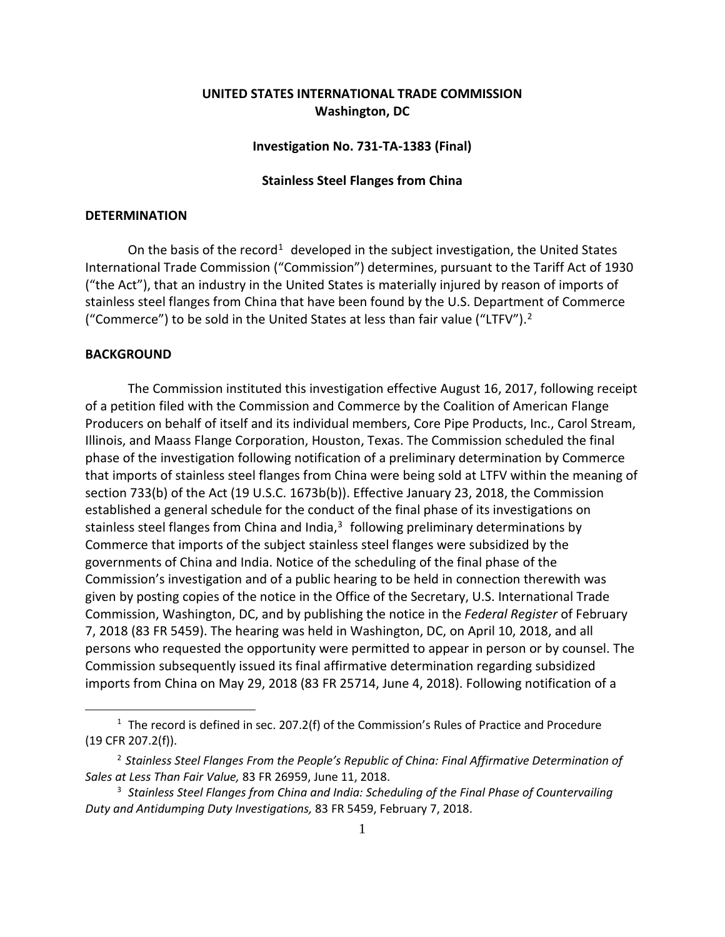# **UNITED STATES INTERNATIONAL TRADE COMMISSION Washington, DC**

### **Investigation No. 731-TA-1383 (Final)**

### **Stainless Steel Flanges from China**

### **DETERMINATION**

On the basis of the record<sup>[1](#page-0-0)</sup> developed in the subject investigation, the United States International Trade Commission ("Commission") determines, pursuant to the Tariff Act of 1930 ("the Act"), that an industry in the United States is materially injured by reason of imports of stainless steel flanges from China that have been found by the U.S. Department of Commerce ("Commerce") to be sold in the United States at less than fair value ("LTFV").[2](#page-0-1)

## **BACKGROUND**

 $\overline{a}$ 

The Commission instituted this investigation effective August 16, 2017, following receipt of a petition filed with the Commission and Commerce by the Coalition of American Flange Producers on behalf of itself and its individual members, Core Pipe Products, Inc., Carol Stream, Illinois, and Maass Flange Corporation, Houston, Texas. The Commission scheduled the final phase of the investigation following notification of a preliminary determination by Commerce that imports of stainless steel flanges from China were being sold at LTFV within the meaning of section 733(b) of the Act (19 U.S.C. 1673b(b)). Effective January 23, 2018, the Commission established a general schedule for the conduct of the final phase of its investigations on stainless steel flanges from China and India, $3$  following preliminary determinations by Commerce that imports of the subject stainless steel flanges were subsidized by the governments of China and India. Notice of the scheduling of the final phase of the Commission's investigation and of a public hearing to be held in connection therewith was given by posting copies of the notice in the Office of the Secretary, U.S. International Trade Commission, Washington, DC, and by publishing the notice in the *Federal Register* of February 7, 2018 (83 FR 5459). The hearing was held in Washington, DC, on April 10, 2018, and all persons who requested the opportunity were permitted to appear in person or by counsel. The Commission subsequently issued its final affirmative determination regarding subsidized imports from China on May 29, 2018 (83 FR 25714, June 4, 2018). Following notification of a

<span id="page-0-0"></span> $1$  The record is defined in sec. 207.2(f) of the Commission's Rules of Practice and Procedure (19 CFR 207.2(f)).

<span id="page-0-1"></span><sup>2</sup> *Stainless Steel Flanges From the People's Republic of China: Final Affirmative Determination of Sales at Less Than Fair Value,* 83 FR 26959, June 11, 2018.

<span id="page-0-2"></span><sup>3</sup> *Stainless Steel Flanges from China and India: Scheduling of the Final Phase of Countervailing Duty and Antidumping Duty Investigations,* 83 FR 5459, February 7, 2018.